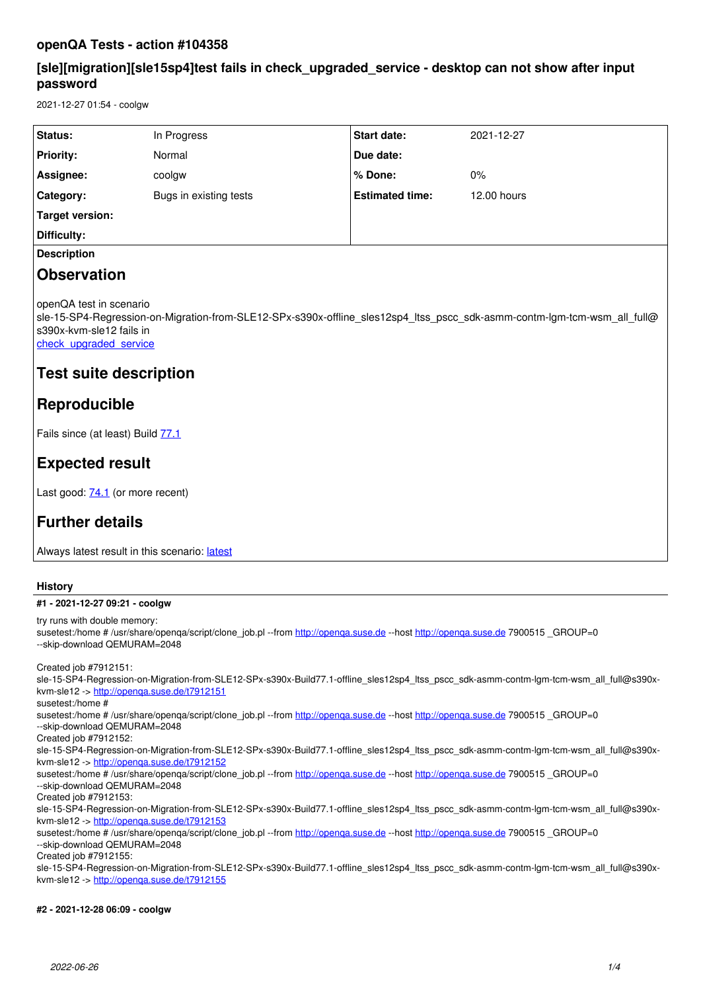# **openQA Tests - action #104358**

# **[sle][migration][sle15sp4]test fails in check\_upgraded\_service - desktop can not show after input password**

2021-12-27 01:54 - coolgw

| Status:            | In Progress            | Start date:            | 2021-12-27  |
|--------------------|------------------------|------------------------|-------------|
| <b>Priority:</b>   | Normal                 | Due date:              |             |
| Assignee:          | coolgw                 | ∣% Done:               | 0%          |
| Category:          | Bugs in existing tests | <b>Estimated time:</b> | 12.00 hours |
| Target version:    |                        |                        |             |
| Difficulty:        |                        |                        |             |
| <b>Description</b> |                        |                        |             |

# **Observation**

openQA test in scenario

sle-15-SP4-Regression-on-Migration-from-SLE12-SPx-s390x-offline\_sles12sp4\_ltss\_pscc\_sdk-asmm-contm-lgm-tcm-wsm\_all\_full@ s390x-kvm-sle12 fails in

[check\\_upgraded\\_service](https://openqa.nue.suse.com/tests/7900515/modules/check_upgraded_service/steps/64)

# **Test suite description**

# **Reproducible**

Fails since (at least) Build [77.1](https://openqa.nue.suse.com/tests/7888695)

# **Expected result**

Last good: **[74.1](https://openqa.nue.suse.com/tests/7863534)** (or more recent)

# **Further details**

Always [latest](https://openqa.nue.suse.com/tests/latest?arch=s390x&distri=sle&flavor=Regression-on-Migration-from-SLE12-SPx&machine=s390x-kvm-sle12&test=offline_sles12sp4_ltss_pscc_sdk-asmm-contm-lgm-tcm-wsm_all_full&version=15-SP4) result in this scenario: latest

## **History**

## **#1 - 2021-12-27 09:21 - coolgw**

try runs with double memory: susetest:/home # /usr/share/openqa/script/clone\_job.pl --from <http://openqa.suse.de>--host http://openqa.suse.de 7900515 \_GROUP=0 --skip-download QEMURAM=2048

Created job #7912151:

sle-15-SP4-Regression-on-Migration-from-SLE12-SPx-s390x-Build77.1-offline\_sles12sp4\_ltss\_pscc\_sdk-asmm-contm-lgm-tcm-wsm\_all\_full@s390xkvm-sle12 -><http://openqa.suse.de/t7912151>

susetest:/home #

susetest:/home # /usr/share/openqa/script/clone\_job.pl --from <http://openqa.suse.de>--host http://openqa.suse.de 7900515 \_GROUP=0 --skip-download QEMURAM=2048

Created job #7912152:

sle-15-SP4-Regression-on-Migration-from-SLE12-SPx-s390x-Build77.1-offline\_sles12sp4\_ltss\_pscc\_sdk-asmm-contm-lgm-tcm-wsm\_all\_full@s390xkvm-sle12 -><http://openqa.suse.de/t7912152>

susetest:/home # /usr/share/openqa/script/clone\_job.pl --from <http://openqa.suse.de>--host http://openqa.suse.de 7900515 \_GROUP=0 --skip-download QEMURAM=2048

Created job #7912153:

sle-15-SP4-Regression-on-Migration-from-SLE12-SPx-s390x-Build77.1-offline\_sles12sp4\_ltss\_pscc\_sdk-asmm-contm-lgm-tcm-wsm\_all\_full@s390xkvm-sle12 -><http://openqa.suse.de/t7912153>

susetest:/home # /usr/share/openqa/script/clone job.pl --from <http://openqa.suse.de>--host http://openqa.suse.de 7900515 GROUP=0 --skip-download QEMURAM=2048

Created job #7912155:

sle-15-SP4-Regression-on-Migration-from-SLE12-SPx-s390x-Build77.1-offline\_sles12sp4\_ltss\_pscc\_sdk-asmm-contm-lgm-tcm-wsm\_all\_full@s390xkvm-sle12 -><http://openqa.suse.de/t7912155>

**#2 - 2021-12-28 06:09 - coolgw**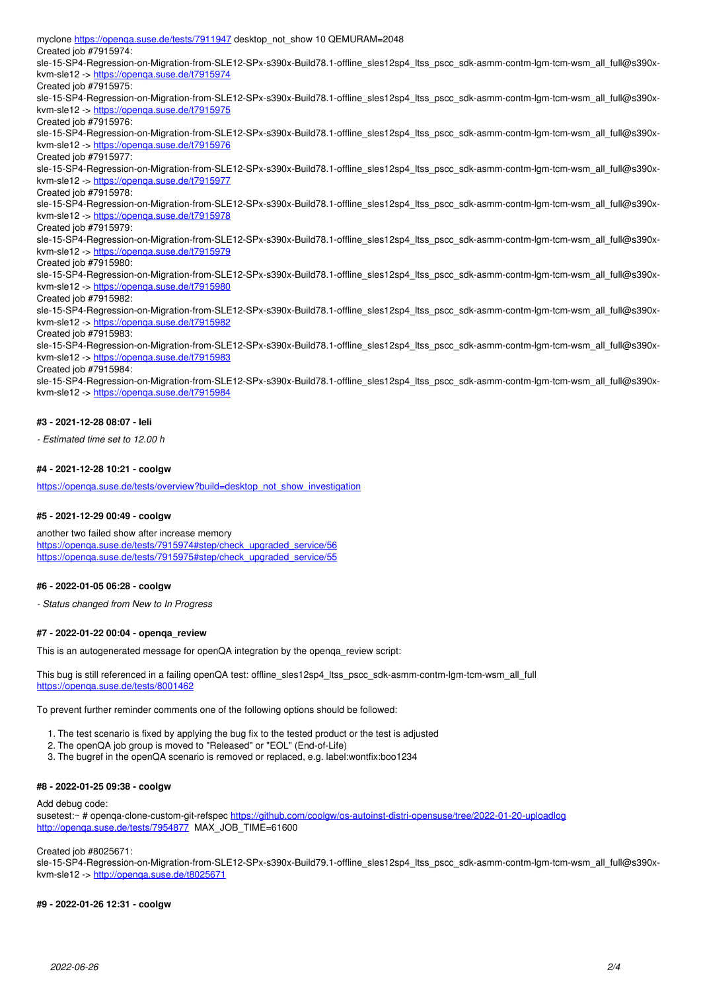myclone<https://openqa.suse.de/tests/7911947>desktop\_not\_show 10 QEMURAM=2048 Created job #7915974: sle-15-SP4-Regression-on-Migration-from-SLE12-SPx-s390x-Build78.1-offline\_sles12sp4\_ltss\_pscc\_sdk-asmm-contm-lgm-tcm-wsm\_all\_full@s390xkvm-sle12 -><https://openqa.suse.de/t7915974> Created job #7915975: sle-15-SP4-Regression-on-Migration-from-SLE12-SPx-s390x-Build78.1-offline\_sles12sp4\_ltss\_pscc\_sdk-asmm-contm-lgm-tcm-wsm\_all\_full@s390xkvm-sle12 -><https://openqa.suse.de/t7915975> Created job #7915976: sle-15-SP4-Regression-on-Migration-from-SLE12-SPx-s390x-Build78.1-offline\_sles12sp4\_ltss\_pscc\_sdk-asmm-contm-lgm-tcm-wsm\_all\_full@s390xkvm-sle12 -><https://openqa.suse.de/t7915976> Created job #7915977: sle-15-SP4-Regression-on-Migration-from-SLE12-SPx-s390x-Build78.1-offline\_sles12sp4\_ltss\_pscc\_sdk-asmm-contm-lgm-tcm-wsm\_all\_full@s390xkvm-sle12 -><https://openqa.suse.de/t7915977> Created job #7915978: sle-15-SP4-Regression-on-Migration-from-SLE12-SPx-s390x-Build78.1-offline\_sles12sp4\_ltss\_pscc\_sdk-asmm-contm-lgm-tcm-wsm\_all\_full@s390xkvm-sle12 -><https://openqa.suse.de/t7915978> Created job #7915979: sle-15-SP4-Regression-on-Migration-from-SLE12-SPx-s390x-Build78.1-offline\_sles12sp4\_ltss\_pscc\_sdk-asmm-contm-lgm-tcm-wsm\_all\_full@s390xkvm-sle12 -><https://openqa.suse.de/t7915979> Created job #7915980: sle-15-SP4-Regression-on-Migration-from-SLE12-SPx-s390x-Build78.1-offline\_sles12sp4\_ltss\_pscc\_sdk-asmm-contm-lgm-tcm-wsm\_all\_full@s390xkvm-sle12 -><https://openqa.suse.de/t7915980> Created job #7915982: sle-15-SP4-Regression-on-Migration-from-SLE12-SPx-s390x-Build78.1-offline\_sles12sp4\_ltss\_pscc\_sdk-asmm-contm-lgm-tcm-wsm\_all\_full@s390xkvm-sle12 -><https://openqa.suse.de/t7915982> Created job #7915983: sle-15-SP4-Regression-on-Migration-from-SLE12-SPx-s390x-Build78.1-offline\_sles12sp4\_ltss\_pscc\_sdk-asmm-contm-lgm-tcm-wsm\_all\_full@s390xkvm-sle12 -><https://openqa.suse.de/t7915983> Created job #7915984: sle-15-SP4-Regression-on-Migration-from-SLE12-SPx-s390x-Build78.1-offline\_sles12sp4\_ltss\_pscc\_sdk-asmm-contm-lgm-tcm-wsm\_all\_full@s390xkvm-sle12 -><https://openqa.suse.de/t7915984>

### **#3 - 2021-12-28 08:07 - leli**

*- Estimated time set to 12.00 h*

## **#4 - 2021-12-28 10:21 - coolgw**

https://openga.suse.de/tests/overview?build=desktop\_not\_show\_investigation

#### **#5 - 2021-12-29 00:49 - coolgw**

another two failed show after increase memory [https://openqa.suse.de/tests/7915974#step/check\\_upgraded\\_service/56](https://openqa.suse.de/tests/7915974#step/check_upgraded_service/56) [https://openqa.suse.de/tests/7915975#step/check\\_upgraded\\_service/55](https://openqa.suse.de/tests/7915975#step/check_upgraded_service/55)

#### **#6 - 2022-01-05 06:28 - coolgw**

*- Status changed from New to In Progress*

#### **#7 - 2022-01-22 00:04 - openqa\_review**

This is an autogenerated message for openQA integration by the openqa\_review script:

This bug is still referenced in a failing openQA test: offline sles12sp4\_ltss\_pscc\_sdk-asmm-contm-lgm-tcm-wsm\_all\_full <https://openqa.suse.de/tests/8001462>

To prevent further reminder comments one of the following options should be followed:

- 1. The test scenario is fixed by applying the bug fix to the tested product or the test is adjusted
- 2. The openQA job group is moved to "Released" or "EOL" (End-of-Life)
- 3. The bugref in the openQA scenario is removed or replaced, e.g. label:wontfix:boo1234

#### **#8 - 2022-01-25 09:38 - coolgw**

#### Add debug code:

susetest:~ # openqa-clone-custom-git-refspec <https://github.com/coolgw/os-autoinst-distri-opensuse/tree/2022-01-20-uploadlog> <http://openqa.suse.de/tests/7954877>MAX\_JOB\_TIME=61600

#### Created job #8025671:

sle-15-SP4-Regression-on-Migration-from-SLE12-SPx-s390x-Build79.1-offline\_sles12sp4\_ltss\_pscc\_sdk-asmm-contm-lgm-tcm-wsm\_all\_full@s390xkvm-sle12 -><http://openqa.suse.de/t8025671>

#### **#9 - 2022-01-26 12:31 - coolgw**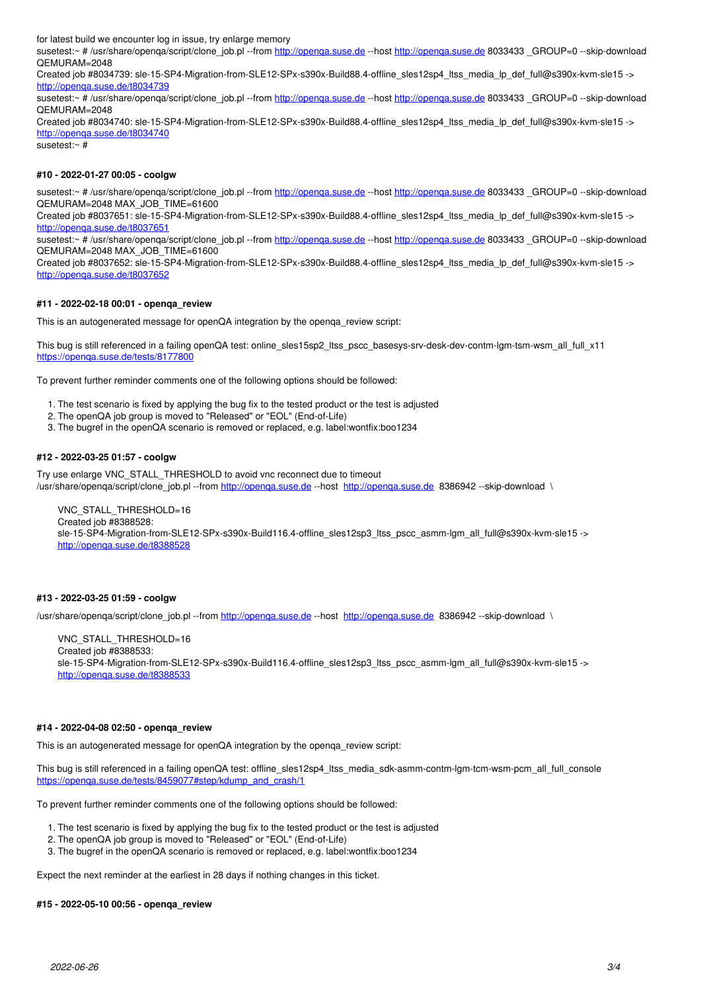for latest build we encounter log in issue, try enlarge memory

susetest:~ # /usr/share/openqa/script/clone\_job.pl --from<http://openqa.suse.de> --host http://openqa.suse.de 8033433 \_GROUP=0 --skip-download QEMURAM=2048

Created job #8034739: sle-15-SP4-Migration-from-SLE12-SPx-s390x-Build88.4-offline\_sles12sp4\_ltss\_media\_lp\_def\_full@s390x-kvm-sle15 -> <http://openqa.suse.de/t8034739>

susetest:~ # /usr/share/openqa/script/clone\_job.pl --from http://openga.suse.de --host http://openga.suse.de 8033433 GROUP=0 --skip-download QEMURAM=2048

Created job #8034740: sle-15-SP4-Migration-from-SLE12-SPx-s390x-Build88.4-offline\_sles12sp4\_ltss\_media\_lp\_def\_full@s390x-kvm-sle15 -> <http://openqa.suse.de/t8034740>

susetest:~ #

#### **#10 - 2022-01-27 00:05 - coolgw**

susetest:~ # /usr/share/openga/script/clone\_job.pl --from http://openga.suse.de --host http://openga.suse.de 8033433 GROUP=0 --skip-download QEMURAM=2048 MAX\_JOB\_TIME=61600

Created job #8037651: sle-15-SP4-Migration-from-SLE12-SPx-s390x-Build88.4-offline\_sles12sp4\_ltss\_media\_lp\_def\_full@s390x-kvm-sle15 -> <http://openqa.suse.de/t8037651>

susetest:~ # /usr/share/openqa/script/clone\_job.pl --from<http://openqa.suse.de> --host http://openqa.suse.de 8033433 \_GROUP=0 --skip-download QEMURAM=2048 MAX\_JOB\_TIME=61600

Created job #8037652: sle-15-SP4-Migration-from-SLE12-SPx-s390x-Build88.4-offline\_sles12sp4\_ltss\_media\_lp\_def\_full@s390x-kvm-sle15 -> <http://openqa.suse.de/t8037652>

## **#11 - 2022-02-18 00:01 - openqa\_review**

This is an autogenerated message for openQA integration by the openqa\_review script:

This bug is still referenced in a failing openQA test: online\_sles15sp2\_ltss\_pscc\_basesys-srv-desk-dev-contm-lgm-tsm-wsm\_all\_full\_x11 <https://openqa.suse.de/tests/8177800>

To prevent further reminder comments one of the following options should be followed:

- 1. The test scenario is fixed by applying the bug fix to the tested product or the test is adjusted
- 2. The openQA job group is moved to "Released" or "EOL" (End-of-Life)
- 3. The bugref in the openQA scenario is removed or replaced, e.g. label:wontfix:boo1234

## **#12 - 2022-03-25 01:57 - coolgw**

Try use enlarge VNC\_STALL\_THRESHOLD to avoid vnc reconnect due to timeout

/usr/share/openqa/script/clone\_job.pl --from <http://openqa.suse.de>--host http://openqa.suse.de 8386942 --skip-download \

VNC\_STALL\_THRESHOLD=16 Created job #8388528: sle-15-SP4-Migration-from-SLE12-SPx-s390x-Build116.4-offline\_sles12sp3\_ltss\_pscc\_asmm-lgm\_all\_full@s390x-kvm-sle15 -> <http://openqa.suse.de/t8388528>

### **#13 - 2022-03-25 01:59 - coolgw**

/usr/share/openqa/script/clone\_job.pl --from <http://openqa.suse.de>--host <http://openqa.suse.de>8386942 --skip-download \

VNC\_STALL\_THRESHOLD=16 Created job #8388533: sle-15-SP4-Migration-from-SLE12-SPx-s390x-Build116.4-offline\_sles12sp3\_ltss\_pscc\_asmm-lgm\_all\_full@s390x-kvm-sle15 -> <http://openqa.suse.de/t8388533>

#### **#14 - 2022-04-08 02:50 - openqa\_review**

This is an autogenerated message for openQA integration by the openqa\_review script:

This bug is still referenced in a failing openQA test: offline\_sles12sp4\_ltss\_media\_sdk-asmm-contm-lgm-tcm-wsm-pcm\_all\_full\_console [https://openqa.suse.de/tests/8459077#step/kdump\\_and\\_crash/1](https://openqa.suse.de/tests/8459077#step/kdump_and_crash/1)

To prevent further reminder comments one of the following options should be followed:

1. The test scenario is fixed by applying the bug fix to the tested product or the test is adjusted

- 2. The openQA job group is moved to "Released" or "EOL" (End-of-Life)
- 3. The bugref in the openQA scenario is removed or replaced, e.g. label:wontfix:boo1234

Expect the next reminder at the earliest in 28 days if nothing changes in this ticket.

#### **#15 - 2022-05-10 00:56 - openqa\_review**